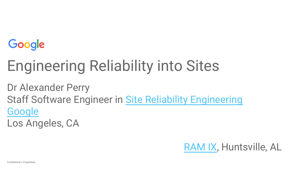

## Engineering Reliability into Sites

Dr Alexander Perry Staff Software Engineer in [Site Reliability Engineering](https://landing.google.com/sre/) **[Google](https://www.google.com/about/locations/los-angeles/)** 

Los Angeles, CA

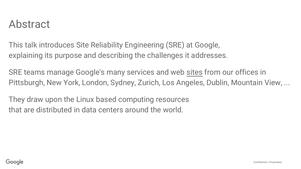#### Abstract

This talk introduces Site Reliability Engineering (SRE) at Google, explaining its purpose and describing the challenges it addresses.

SRE teams manage Google's many services and web sites from our offices in Pittsburgh, New York, London, Sydney, Zurich, Los Angeles, Dublin, Mountain View, ...

They draw upon the Linux based computing resources that are distributed in data centers around the world.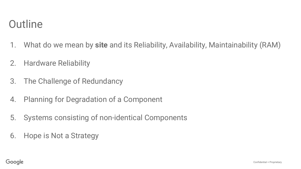#### **Outline**

- 1. What do we mean by **site** and its Reliability, Availability, Maintainability (RAM)
- 2. Hardware Reliability
- 3. The Challenge of Redundancy
- 4. Planning for Degradation of a Component
- 5. Systems consisting of non-identical Components
- 6. Hope is Not a Strategy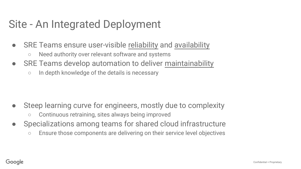#### Site - An Integrated Deployment

- SRE Teams ensure user-visible reliability and availability
	- Need authority over relevant software and systems
- SRE Teams develop automation to deliver maintainability
	- In depth knowledge of the details is necessary

- Steep learning curve for engineers, mostly due to complexity
	- Continuous retraining, sites always being improved
- Specializations among teams for shared cloud infrastructure
	- Ensure those components are delivering on their service level objectives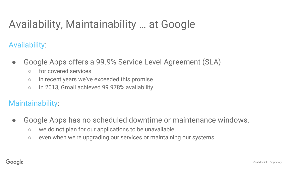#### Availability, Maintainability … at Google

[Availability](https://support.google.com/work/answer/6056635?hl=en):

- Google Apps offers a 99.9% Service Level Agreement (SLA)
	- for covered services
	- in recent years we've exceeded this promise
	- In 2013, Gmail achieved 99.978% availability

#### [Maintainability](https://support.google.com/work/answer/6056635?hl=en):

- Google Apps has no scheduled downtime or maintenance windows.
	- we do not plan for our applications to be unavailable
	- even when we're upgrading our services or maintaining our systems.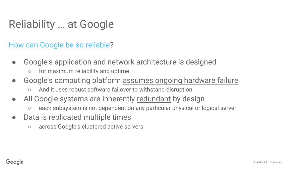#### Reliability … at Google

#### [How can Google be so reliable](https://support.google.com/work/answer/6056635?hl=en)?

- Google's application and network architecture is designed
	- for maximum reliability and uptime
- Google's computing platform assumes ongoing hardware failure
	- And it uses robust software failover to withstand disruption
- All Google systems are inherently redundant by design
	- each subsystem is not dependent on any particular physical or logical server
- Data is replicated multiple times
	- across Google's clustered active servers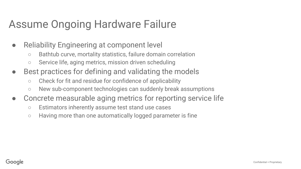#### Assume Ongoing Hardware Failure

- Reliability Engineering at component level
	- Bathtub curve, mortality statistics, failure domain correlation
	- Service life, aging metrics, mission driven scheduling
- Best practices for defining and validating the models
	- Check for fit and residue for confidence of applicability
	- New sub-component technologies can suddenly break assumptions
- Concrete measurable aging metrics for reporting service life
	- Estimators inherently assume test stand use cases
	- Having more than one automatically logged parameter is fine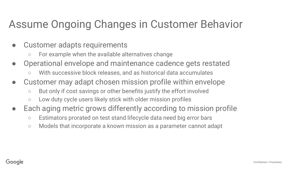#### Assume Ongoing Changes in Customer Behavior

- Customer adapts requirements
	- For example when the available alternatives change
- Operational envelope and maintenance cadence gets restated
	- With successive block releases, and as historical data accumulates
- Customer may adapt chosen mission profile within envelope
	- But only if cost savings or other benefits justify the effort involved
	- Low duty cycle users likely stick with older mission profiles
- Each aging metric grows differently according to mission profile
	- Estimators prorated on test stand lifecycle data need big error bars
	- Models that incorporate a known mission as a parameter cannot adapt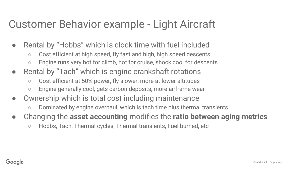#### Customer Behavior example - Light Aircraft

- Rental by "Hobbs" which is clock time with fuel included
	- Cost efficient at high speed, fly fast and high, high speed descents
	- Engine runs very hot for climb, hot for cruise, shock cool for descents
- Rental by "Tach" which is engine crankshaft rotations
	- Cost efficient at 50% power, fly slower, more at lower altitudes
	- Engine generally cool, gets carbon deposits, more airframe wear
- Ownership which is total cost including maintenance
	- Dominated by engine overhaul, which is tach time plus thermal transients
- Changing the **asset accounting** modifies the **ratio between aging metrics**
	- Hobbs, Tach, Thermal cycles, Thermal transients, Fuel burned, etc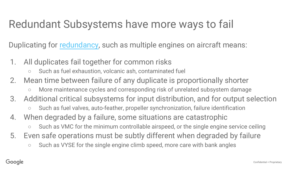### Redundant Subsystems have more ways to fail

Duplicating for [redundancy](https://en.wikipedia.org/wiki/Redundancy_(engineering)), such as multiple engines on aircraft means:

- 1. All duplicates fail together for common risks
	- Such as fuel exhaustion, volcanic ash, contaminated fuel
- 2. Mean time between failure of any duplicate is proportionally shorter
	- More maintenance cycles and corresponding risk of unrelated subsystem damage
- 3. Additional critical subsystems for input distribution, and for output selection
	- Such as fuel valves, auto-feather, propeller synchronization, failure identification
- 4. When degraded by a failure, some situations are catastrophic
	- Such as VMC for the minimum controllable airspeed, or the single engine service ceiling
- 5. Even safe operations must be subtly different when degraded by failure
	- Such as VYSE for the single engine climb speed, more care with bank angles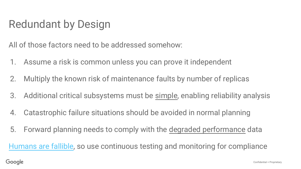#### Redundant by Design

All of those factors need to be addressed somehow:

- 1. Assume a risk is common unless you can prove it independent
- 2. Multiply the known risk of maintenance faults by number of replicas
- 3. Additional critical subsystems must be simple, enabling reliability analysis
- 4. Catastrophic failure situations should be avoided in normal planning
- 5. Forward planning needs to comply with the degraded performance data

[Humans are fallible](http://www.lse.ac.uk/accounting/CARR/pdf/dps/disspaper53.pdf), so use continuous testing and monitoring for compliance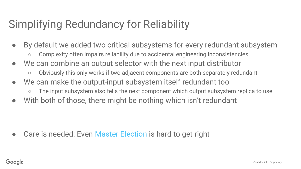### Simplifying Redundancy for Reliability

- By default we added two critical subsystems for every redundant subsystem
	- Complexity often impairs reliability due to accidental engineering inconsistencies
- We can combine an output selector with the next input distributor
	- Obviously this only works if two adjacent components are both separately redundant
- We can make the output-input subsystem itself redundant too
	- The input subsystem also tells the next component which output subsystem replica to use
- With both of those, there might be nothing which isn't redundant

Care is needed: Even [Master Election](http://static.googleusercontent.com/media/research.google.com/en//archive/chubby-osdi06.pdf) is hard to get right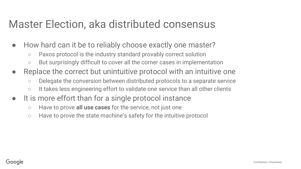#### Master Election, aka distributed consensus

- How hard can it be to reliably choose exactly one master?
	- Paxos protocol is the industry standard provably correct solution
	- But surprisingly difficult to cover all the corner cases in implementation
- Replace the correct but unintuitive protocol with an intuitive one
	- Delegate the conversion between distributed protocols to a separate service
	- It takes less engineering effort to validate one service than all other clients
- It is more effort than for a single protocol instance
	- Have to prove **all use cases** for the service, not just one
	- Have to prove the state machine's safety for the intuitive protocol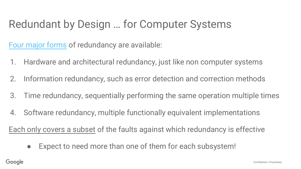#### Redundant by Design … for Computer Systems

[Four major forms](https://en.wikipedia.org/wiki/Redundancy_(engineering)#cite_note-5) of redundancy are available:

- 1. Hardware and architectural redundancy, just like non computer systems
- 2. Information redundancy, such as error detection and correction methods
- 3. Time redundancy, sequentially performing the same operation multiple times
- 4. Software redundancy, multiple functionally equivalent implementations

Each only covers a subset of the faults against which redundancy is effective

• Expect to need more than one of them for each subsystem!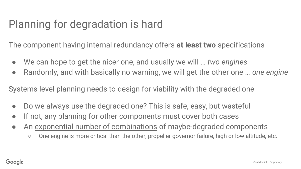### Planning for degradation is hard

The component having internal redundancy offers **at least two** specifications

- We can hope to get the nicer one, and usually we will ... *two engines*
- Randomly, and with basically no warning, we will get the other one … *one engine*

Systems level planning needs to design for viability with the degraded one

- Do we always use the degraded one? This is safe, easy, but wasteful
- If not, any planning for other components must cover both cases
- An exponential number of combinations of maybe-degraded components
	- One engine is more critical than the other, propeller governor failure, high or low altitude, etc.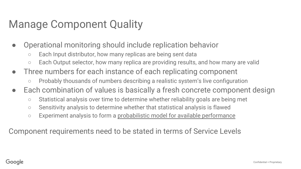#### Manage Component Quality

- Operational monitoring should include replication behavior
	- Each Input distributor, how many replicas are being sent data
	- Each Output selector, how many replica are providing results, and how many are valid
- Three numbers for each instance of each replicating component
	- Probably thousands of numbers describing a realistic system's live configuration
- Each combination of values is basically a fresh concrete component design
	- Statistical analysis over time to determine whether reliability goals are being met
	- Sensitivity analysis to determine whether that statistical analysis is flawed
	- Experiment analysis to form a probabilistic model for available performance

Component requirements need to be stated in terms of Service Levels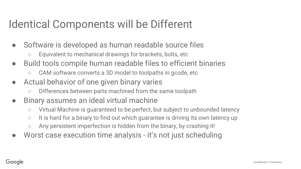#### Identical Components will be Different

- Software is developed as human readable source files
	- Equivalent to mechanical drawings for brackets, bolts, etc
- Build tools compile human readable files to efficient binaries
	- CAM software converts a 3D model to toolpaths in gcode, etc
- Actual behavior of one given binary varies
	- Differences between parts machined from the same toolpath
- Binary assumes an ideal virtual machine
	- Virtual Machine is guaranteed to be perfect, but subject to unbounded latency
	- It is hard for a binary to find out which guarantee is driving its own latency up
	- $\circ$  Any persistent imperfection is hidden from the binary, by crashing it!
- Worst case execution time analysis it's not just scheduling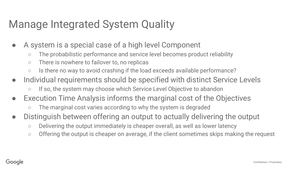#### Manage Integrated System Quality

- A system is a special case of a high level Component
	- The probabilistic performance and service level becomes product reliability
	- There is nowhere to failover to, no replicas
	- Is there no way to avoid crashing if the load exceeds available performance?
- Individual requirements should be specified with distinct Service Levels
	- If so, the system may choose which Service Level Objective to abandon
- Execution Time Analysis informs the marginal cost of the Objectives
	- The marginal cost varies according to why the system is degraded
- Distinguish between offering an output to actually delivering the output
	- Delivering the output immediately is cheaper overall, as well as lower latency
	- Offering the output is cheaper on average, if the client sometimes skips making the request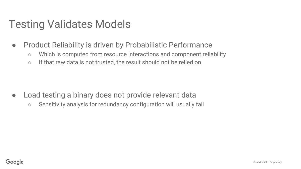#### Testing Validates Models

- Product Reliability is driven by Probabilistic Performance
	- Which is computed from resource interactions and component reliability
	- If that raw data is not trusted, the result should not be relied on

- Load testing a binary does not provide relevant data
	- Sensitivity analysis for redundancy configuration will usually fail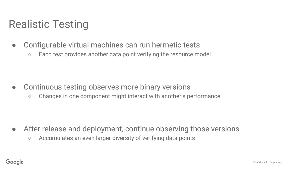### Realistic Testing

- Configurable virtual machines can run hermetic tests
	- Each test provides another data point verifying the resource model

- Continuous testing observes more binary versions
	- Changes in one component might interact with another's performance

- After release and deployment, continue observing those versions
	- Accumulates an even larger diversity of verifying data points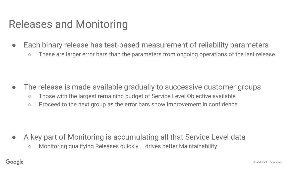#### Releases and Monitoring

- Each binary release has test-based measurement of reliability parameters
	- These are larger error bars than the parameters from ongoing operations of the last release

- The release is made available gradually to successive customer groups
	- Those with the largest remaining budget of Service Level Objective available
	- Proceed to the next group as the error bars show improvement in confidence

- A key part of Monitoring is accumulating all that Service Level data
	- Monitoring qualifying Releases quickly … drives better Maintainability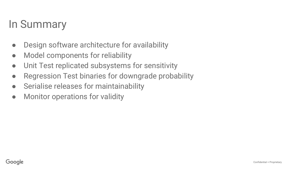#### In Summary

- Design software architecture for availability
- Model components for reliability
- Unit Test replicated subsystems for sensitivity
- Regression Test binaries for downgrade probability
- Serialise releases for maintainability
- Monitor operations for validity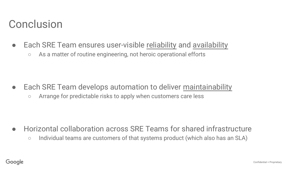#### **Conclusion**

- Each SRE Team ensures user-visible reliability and availability
	- As a matter of routine engineering, not heroic operational efforts

- Each SRE Team develops automation to deliver maintainability
	- Arrange for predictable risks to apply when customers care less

- Horizontal collaboration across SRE Teams for shared infrastructure
	- Individual teams are customers of that systems product (which also has an SLA)